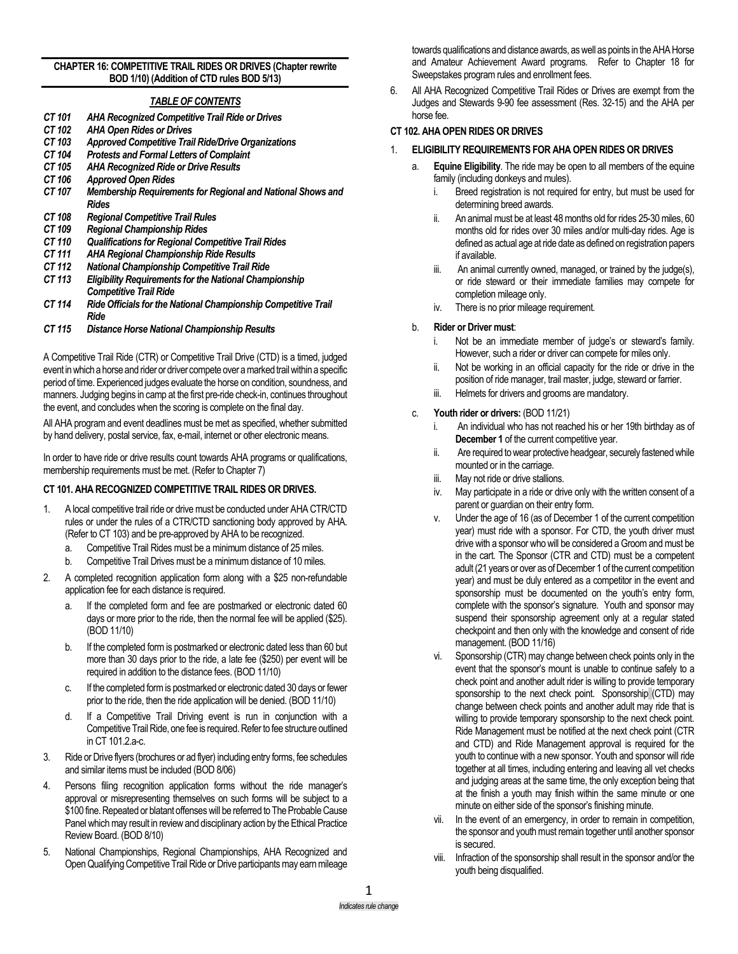#### **CHAPTER 16: COMPETITIVE TRAIL RIDES OR DRIVES (Chapter rewrite BOD 1/10) (Addition of CTD rules BOD 5/13)**

## *TABLE OF CONTENTS*

- *CT 101 AHA Recognized Competitive Trail Ride or Drives*
- *CT 102 AHA Open Rides or Drives*
- *CT 103 Approved Competitive Trail Ride/Drive Organizations*
- *CT 104 Protests and Formal Letters of Complaint*
- *CT 105 AHA Recognized Ride or Drive Results*
- *CT 106 Approved Open Rides*
- *CT 107 Membership Requirements for Regional and National Shows and Rides*
- *CT 108 Regional Competitive Trail Rules*
- *CT 109 Regional Championship Rides*
- *CT 110 Qualifications for Regional Competitive Trail Rides*
- *CT 111 AHA Regional Championship Ride Results*
- *CT 112 National Championship Competitive Trail Ride*
- *Eligibility Requirements for the National Championship Competitive Trail Ride*
- *CT 114 Ride Officials for the National Championship Competitive Trail Ride*
- *CT 115 Distance Horse National Championship Results*

A Competitive Trail Ride (CTR) or Competitive Trail Drive (CTD) is a timed, judged event in which a horse and rider or driver compete over a marked trail within a specific period of time. Experienced judges evaluate the horse on condition, soundness, and manners. Judging begins in camp at the first pre-ride check-in, continues throughout the event, and concludes when the scoring is complete on the final day.

All AHA program and event deadlines must be met as specified, whether submitted by hand delivery, postal service, fax, e-mail, internet or other electronic means.

In order to have ride or drive results count towards AHA programs or qualifications, membership requirements must be met. (Refer to Chapter 7)

### **CT 101. AHA RECOGNIZED COMPETITIVE TRAIL RIDES OR DRIVES.**

- 1. A local competitive trail ride or drive must be conducted under AHA CTR/CTD rules or under the rules of a CTR/CTD sanctioning body approved by AHA. (Refer to CT 103) and be pre-approved by AHA to be recognized.
	- a. Competitive Trail Rides must be a minimum distance of 25 miles.
	- b. Competitive Trail Drives must be a minimum distance of 10 miles.
- 2. A completed recognition application form along with a \$25 non-refundable application fee for each distance is required.
	- a. If the completed form and fee are postmarked or electronic dated 60 days or more prior to the ride, then the normal fee will be applied (\$25). (BOD 11/10)
	- b. If the completed formis postmarked or electronic dated less than 60 but more than 30 days prior to the ride, a late fee (\$250) per event will be required in addition to the distance fees. (BOD 11/10)
	- c. If the completed form is postmarked or electronic dated 30 days or fewer prior to the ride, then the ride application will be denied. (BOD 11/10)
	- d. If a Competitive Trail Driving event is run in conjunction with a Competitive Trail Ride, one fee is required. Refer to fee structure outlined in CT 101.2.a-c.
- 3. Ride or Drive flyers (brochures or ad flyer) including entry forms, fee schedules and similar items must be included (BOD 8/06)
- 4. Persons filing recognition application forms without the ride manager's approval or misrepresenting themselves on such forms will be subject to a \$100 fine. Repeated or blatant offenses will be referred to The Probable Cause Panel which may result in review and disciplinary action by the Ethical Practice Review Board. (BOD 8/10)
- 5. National Championships, Regional Championships, AHA Recognized and Open Qualifying Competitive Trail Ride or Drive participants may earn mileage

towards qualifications and distance awards, as well as points in the AHA Horse and Amateur Achievement Award programs. Refer to Chapter 18 for Sweepstakes program rules and enrollment fees.

6. All AHA Recognized Competitive Trail Rides or Drives are exempt from the Judges and Stewards 9-90 fee assessment (Res. 32-15) and the AHA per horse fee.

### **CT 102. AHA OPEN RIDES OR DRIVES**

- 1. **ELIGIBILITY REQUIREMENTS FOR AHA OPEN RIDES OR DRIVES**
	- **Equine Eligibility**. The ride may be open to all members of the equine family (including donkeys and mules).
		- i. Breed registration is not required for entry, but must be used for determining breed awards.
		- ii. An animal must be at least 48 months old for rides 25-30 miles, 60 months old for rides over 30 miles and/or multi-day rides. Age is defined as actual age at ride date as defined on registration papers if available.
		- iii. An animal currently owned, managed, or trained by the judge(s), or ride steward or their immediate families may compete for completion mileage only.
		- iv. There is no prior mileage requirement.

## b. **Rider or Driver must**:

- Not be an immediate member of judge's or steward's family. However, such a rider or driver can compete for miles only.
- ii. Not be working in an official capacity for the ride or drive in the position of ride manager, trail master, judge, steward or farrier.
- iii. Helmets for drivers and grooms are mandatory.

### c. **Youth rider or drivers:** (BOD 11/21)

- An individual who has not reached his or her 19th birthday as of **December 1** of the current competitive year.
- ii. Are required to wear protective headgear, securely fastened while mounted or in the carriage.
- iii. May not ride or drive stallions.
- iv. May participate in a ride or drive only with the written consent of a parent or guardian on their entry form.
- v. Under the age of 16 (as of December 1 of the current competition year) must ride with a sponsor. For CTD, the youth driver must drive with a sponsor who will be considered a Groom and must be in the cart. The Sponsor (CTR and CTD) must be a competent adult (21 years or over as of December 1 of the current competition year) and must be duly entered as a competitor in the event and sponsorship must be documented on the youth's entry form, complete with the sponsor's signature. Youth and sponsor may suspend their sponsorship agreement only at a regular stated checkpoint and then only with the knowledge and consent of ride management. (BOD 11/16)
- vi. Sponsorship (CTR) may change between check points only in the event that the sponsor's mount is unable to continue safely to a check point and another adult rider is willing to provide temporary sponsorship to the next check point. Sponsorship (CTD) may change between check points and another adult may ride that is willing to provide temporary sponsorship to the next check point. Ride Management must be notified at the next check point (CTR and CTD) and Ride Management approval is required for the youth to continue with a new sponsor. Youth and sponsor will ride together at all times, including entering and leaving all vet checks and judging areas at the same time, the only exception being that at the finish a youth may finish within the same minute or one minute on either side of the sponsor's finishing minute.
- vii. In the event of an emergency, in order to remain in competition, the sponsor and youth must remain together until another sponsor is secured.
- viii. Infraction of the sponsorship shall result in the sponsor and/or the youth being disqualified.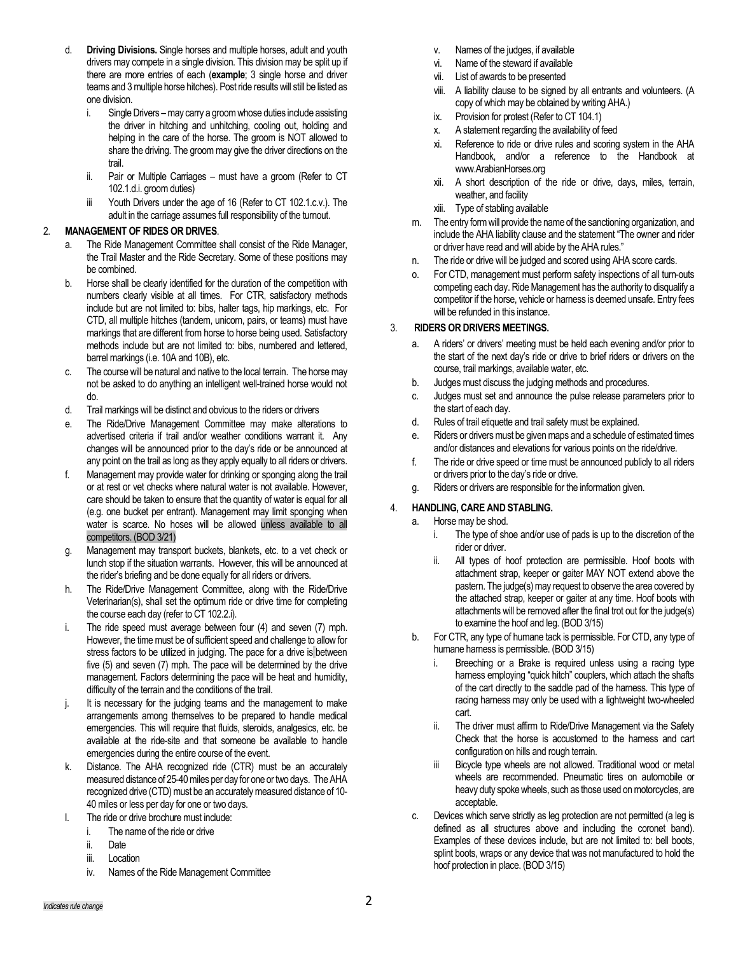- d. **Driving Divisions.** Single horses and multiple horses, adult and youth drivers may compete in a single division. This division may be split up if there are more entries of each (**example**; 3 single horse and driver teams and 3 multiple horse hitches). Post ride results will still be listed as one division.
	- i. Single Drivers may carry a groom whose duties include assisting the driver in hitching and unhitching, cooling out, holding and helping in the care of the horse. The groom is NOT allowed to share the driving. The groom may give the driver directions on the trail.
	- ii. Pair or Multiple Carriages must have a groom (Refer to CT 102.1.d.i. groom duties)
	- iii Youth Drivers under the age of 16 (Refer to CT 102.1.c.v.). The adult in the carriage assumes full responsibility of the turnout.

# 2. **MANAGEMENT OF RIDES OR DRIVES**.

- a. The Ride Management Committee shall consist of the Ride Manager, the Trail Master and the Ride Secretary. Some of these positions may be combined.
- b. Horse shall be clearly identified for the duration of the competition with numbers clearly visible at all times. For CTR, satisfactory methods include but are not limited to: bibs, halter tags, hip markings, etc. For CTD, all multiple hitches (tandem, unicorn, pairs, or teams) must have markings that are different from horse to horse being used. Satisfactory methods include but are not limited to: bibs, numbered and lettered, barrel markings (i.e. 10A and 10B), etc.
- c. The course will be natural and native to the local terrain. The horse may not be asked to do anything an intelligent well-trained horse would not do.
- d. Trail markings will be distinct and obvious to the riders or drivers
- e. The Ride/Drive Management Committee may make alterations to advertised criteria if trail and/or weather conditions warrant it. Any changes will be announced prior to the day's ride or be announced at any point on the trail as long as they apply equally to all riders or drivers.
- f. Management may provide water for drinking or sponging along the trail or at rest or vet checks where natural water is not available. However, care should be taken to ensure that the quantity of water is equal for all (e.g. one bucket per entrant). Management may limit sponging when water is scarce. No hoses will be allowed unless available to all competitors. (BOD 3/21)
- g. Management may transport buckets, blankets, etc. to a vet check or lunch stop if the situation warrants. However, this will be announced at the rider's briefing and be done equally for all riders or drivers.
- h. The Ride/Drive Management Committee, along with the Ride/Drive Veterinarian(s), shall set the optimum ride or drive time for completing the course each day (refer to CT 102.2.i).
- i. The ride speed must average between four (4) and seven (7) mph. However, the time must be of sufficient speed and challenge to allow for stress factors to be utilized in judging. The pace for a drive is between five (5) and seven (7) mph. The pace will be determined by the drive management. Factors determining the pace will be heat and humidity, difficulty of the terrain and the conditions of the trail.
- j. It is necessary for the judging teams and the management to make arrangements among themselves to be prepared to handle medical emergencies. This will require that fluids, steroids, analgesics, etc. be available at the ride-site and that someone be available to handle emergencies during the entire course of the event.
- k. Distance. The AHA recognized ride (CTR) must be an accurately measured distance of 25-40 miles per day for one or two days. The AHA recognized drive (CTD) must be an accurately measured distance of 10- 40 miles or less per day for one or two days.
- l. The ride or drive brochure must include:
	- i. The name of the ride or drive
	- ii. Date
	- iii. Location
	- iv. Names of the Ride Management Committee
- v. Names of the judges, if available
- vi. Name of the steward if available
- vii. List of awards to be presented
- viii. A liability clause to be signed by all entrants and volunteers. (A copy of which may be obtained by writing AHA.)
- ix. Provision for protest (Refer to CT 104.1)
- x. A statement regarding the availability of feed
- xi. Reference to ride or drive rules and scoring system in the AHA Handbook, and/or a reference to the Handbook at [www.ArabianHorses.org](http://www.arabianhorses.org/)
- xii. A short description of the ride or drive, days, miles, terrain, weather, and facility
- xiii. Type of stabling available
- m. The entry form will provide the name of the sanctioning organization, and include the AHA liability clause and the statement "The owner and rider or driver have read and will abide by the AHA rules."
- n. The ride or drive will be judged and scored using AHA score cards.
- o. For CTD, management must perform safety inspections of all turn-outs competing each day. Ride Management has the authority to disqualify a competitor if the horse, vehicle or harness is deemed unsafe. Entry fees will be refunded in this instance.

## 3. **RIDERS OR DRIVERS MEETINGS.**

- a. A riders' or drivers' meeting must be held each evening and/or prior to the start of the next day's ride or drive to brief riders or drivers on the course, trail markings, available water, etc.
- b. Judges must discuss the judging methods and procedures.
- c. Judges must set and announce the pulse release parameters prior to the start of each day.
- d. Rules of trail etiquette and trail safety must be explained.
- e. Riders or drivers must be given maps and a schedule of estimated times and/or distances and elevations for various points on the ride/drive.
- f. The ride or drive speed or time must be announced publicly to all riders or drivers prior to the day's ride or drive.
- g. Riders or drivers are responsible for the information given.

## 4. **HANDLING, CARE AND STABLING.**

- a. Horse may be shod.
	- i. The type of shoe and/or use of pads is up to the discretion of the rider or driver.
	- ii. All types of hoof protection are permissible. Hoof boots with attachment strap, keeper or gaiter MAY NOT extend above the pastern. The judge(s) may request to observe the area covered by the attached strap, keeper or gaiter at any time. Hoof boots with attachments will be removed after the final trot out for the judge(s) to examine the hoof and leg. (BOD 3/15)
- b. For CTR, any type of humane tack is permissible. For CTD, any type of humane harness is permissible. (BOD 3/15)
	- i. Breeching or a Brake is required unless using a racing type harness employing "quick hitch" couplers, which attach the shafts of the cart directly to the saddle pad of the harness. This type of racing harness may only be used with a lightweight two-wheeled cart.
	- ii. The driver must affirm to Ride/Drive Management via the Safety Check that the horse is accustomed to the harness and cart configuration on hills and rough terrain.
	- iii Bicycle type wheels are not allowed. Traditional wood or metal wheels are recommended. Pneumatic tires on automobile or heavy duty spoke wheels, such as those used on motorcycles, are acceptable.
- c. Devices which serve strictly as leg protection are not permitted (a leg is defined as all structures above and including the coronet band). Examples of these devices include, but are not limited to: bell boots, splint boots, wraps or any device that was not manufactured to hold the hoof protection in place. (BOD 3/15)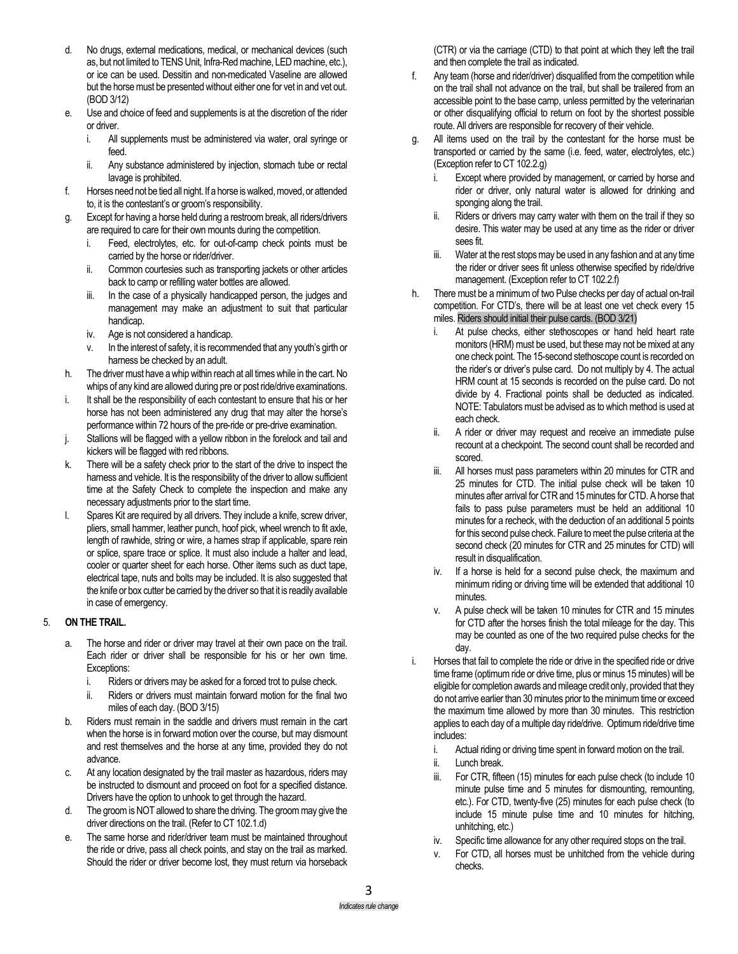- d. No drugs, external medications, medical, or mechanical devices (such as, but not limited to TENS Unit, Infra-Redmachine, LED machine, etc.), or ice can be used. Dessitin and non-medicated Vaseline are allowed but the horse must be presented without either one for vet in and vet out. (BOD 3/12)
- e. Use and choice of feed and supplements is at the discretion of the rider or driver.
	- i. All supplements must be administered via water, oral syringe or feed.
	- ii. Any substance administered by injection, stomach tube or rectal lavage is prohibited.
- f. Horses need not be tied all night. If a horse is walked, moved, or attended to, it is the contestant's or groom's responsibility.
- g. Except for having a horse held during a restroom break, all riders/drivers are required to care for their own mounts during the competition.
	- i. Feed, electrolytes, etc. for out-of-camp check points must be carried by the horse or rider/driver.
	- ii. Common courtesies such as transporting jackets or other articles back to camp or refilling water bottles are allowed.
	- iii. In the case of a physically handicapped person, the judges and management may make an adjustment to suit that particular handicap.
	- iv. Age is not considered a handicap.
	- v. In the interest of safety, it is recommended that any youth's girth or harness be checked by an adult.
- h. The driver must have a whip within reach at all times while in the cart.No whips of any kind are allowed during pre or post ride/drive examinations.
- i. It shall be the responsibility of each contestant to ensure that his or her horse has not been administered any drug that may alter the horse's performance within 72 hours of the pre-ride or pre-drive examination.
- j. Stallions will be flagged with a yellow ribbon in the forelock and tail and kickers will be flagged with red ribbons.
- k. There will be a safety check prior to the start of the drive to inspect the harness and vehicle. It is the responsibility of the driver to allow sufficient time at the Safety Check to complete the inspection and make any necessary adjustments prior to the start time.
- l. Spares Kit are required by all drivers. They include a knife, screw driver, pliers, small hammer, leather punch, hoof pick, wheel wrench to fit axle, length of rawhide, string or wire, a hames strap if applicable, spare rein or splice, spare trace or splice. It must also include a halter and lead, cooler or quarter sheet for each horse. Other items such as duct tape, electrical tape, nuts and bolts may be included. It is also suggested that the knife or box cutter be carried by the driver so that it is readily available in case of emergency.

## 5. **ON THE TRAIL.**

- a. The horse and rider or driver may travel at their own pace on the trail. Each rider or driver shall be responsible for his or her own time. Exceptions:
	- i. Riders or drivers may be asked for a forced trot to pulse check.
	- ii. Riders or drivers must maintain forward motion for the final two miles of each day. (BOD 3/15)
- b. Riders must remain in the saddle and drivers must remain in the cart when the horse is in forward motion over the course, but may dismount and rest themselves and the horse at any time, provided they do not advance.
- c. At any location designated by the trail master as hazardous, riders may be instructed to dismount and proceed on foot for a specified distance. Drivers have the option to unhook to get through the hazard.
- d. The groom is NOT allowed to share the driving. The groom may give the driver directions on the trail. (Refer to CT 102.1.d)
- e. The same horse and rider/driver team must be maintained throughout the ride or drive, pass all check points, and stay on the trail as marked. Should the rider or driver become lost, they must return via horseback

(CTR) or via the carriage (CTD) to that point at which they left the trail and then complete the trail as indicated.

- f. Any team (horse and rider/driver) disqualified from the competition while on the trail shall not advance on the trail, but shall be trailered from an accessible point to the base camp, unless permitted by the veterinarian or other disqualifying official to return on foot by the shortest possible route. All drivers are responsible for recovery of their vehicle.
- g. All items used on the trail by the contestant for the horse must be transported or carried by the same (i.e. feed, water, electrolytes, etc.) (Exception refer to CT 102.2.g)
	- Except where provided by management, or carried by horse and rider or driver, only natural water is allowed for drinking and sponging along the trail.
	- ii. Riders or drivers may carry water with them on the trail if they so desire. This water may be used at any time as the rider or driver sees fit.
	- iii. Water at the rest stops may be used in any fashion and at any time the rider or driver sees fit unless otherwise specified by ride/drive management. (Exception refer to CT 102.2.f)
- h. There must be a minimum of two Pulse checks per day of actual on-trail competition. For CTD's, there will be at least one vet check every 15 miles. Riders should initial their pulse cards. (BOD 3/21)
	- At pulse checks, either stethoscopes or hand held heart rate monitors (HRM) must be used, but these may not be mixed at any one check point. The 15-second stethoscope count is recorded on the rider's or driver's pulse card. Do not multiply by 4. The actual HRM count at 15 seconds is recorded on the pulse card. Do not divide by 4. Fractional points shall be deducted as indicated. NOTE: Tabulators must be advised as to which method is used at each check.
	- ii. A rider or driver may request and receive an immediate pulse recount at a checkpoint. The second count shall be recorded and scored.
	- iii. All horses must pass parameters within 20 minutes for CTR and 25 minutes for CTD. The initial pulse check will be taken 10 minutes after arrival for CTR and 15 minutes for CTD. A horse that fails to pass pulse parameters must be held an additional 10 minutes for a recheck, with the deduction of an additional 5 points for this second pulse check. Failure to meet the pulse criteria at the second check (20 minutes for CTR and 25 minutes for CTD) will result in disqualification.
	- iv. If a horse is held for a second pulse check, the maximum and minimum riding or driving time will be extended that additional 10 minutes.
	- v. A pulse check will be taken 10 minutes for CTR and 15 minutes for CTD after the horses finish the total mileage for the day. This may be counted as one of the two required pulse checks for the day.
- i. Horses that fail to complete the ride or drive in the specified ride or drive time frame (optimum ride or drive time, plus or minus 15 minutes) will be eligible for completion awards and mileage credit only, provided that they do not arrive earlier than 30 minutes prior to the minimum time or exceed the maximum time allowed by more than 30 minutes. This restriction applies to each day of a multiple day ride/drive. Optimum ride/drive time includes:
	- i. Actual riding or driving time spent in forward motion on the trail.
	- ii. Lunch break.
	- iii. For CTR, fifteen (15) minutes for each pulse check (to include 10 minute pulse time and 5 minutes for dismounting, remounting, etc.). For CTD, twenty-five (25) minutes for each pulse check (to include 15 minute pulse time and 10 minutes for hitching, unhitching, etc.)
	- iv. Specific time allowance for any other required stops on the trail.
	- v. For CTD, all horses must be unhitched from the vehicle during checks.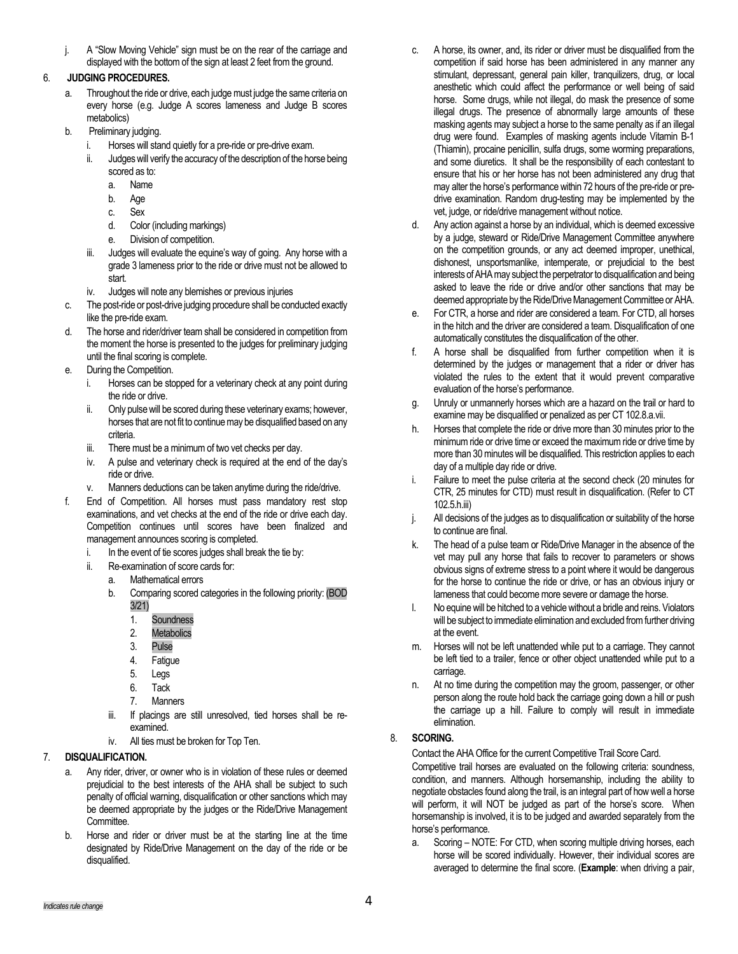j. A "Slow Moving Vehicle" sign must be on the rear of the carriage and displayed with the bottom of the sign at least 2 feet from the ground.

# 6. **JUDGING PROCEDURES.**

- a. Throughout the ride or drive, each judge must judge the same criteria on every horse (e.g. Judge A scores lameness and Judge B scores metabolics)
- b. Preliminary judging.
	- i. Horses will stand quietly for a pre-ride or pre-drive exam.
	- ii. Judges will verify the accuracy of the description of the horse being scored as to:
		- a. Name
		- b. Age
		- c. Sex
		- d. Color (including markings)
		- e. Division of competition.
	- iii. Judges will evaluate the equine's way of going. Any horse with a grade 3 lameness prior to the ride or drive must not be allowed to start.
	- iv. Judges will note any blemishes or previous injuries
- c. The post-ride or post-drive judging procedure shall be conducted exactly like the pre-ride exam.
- d. The horse and rider/driver team shall be considered in competition from the moment the horse is presented to the judges for preliminary judging until the final scoring is complete.
- e. During the Competition.
	- i. Horses can be stopped for a veterinary check at any point during the ride or drive.
	- ii. Only pulse will be scored during these veterinary exams; however, horses that are not fit to continue may be disqualified based on any criteria.
	- iii. There must be a minimum of two vet checks per day.
	- iv. A pulse and veterinary check is required at the end of the day's ride or drive.
	- v. Manners deductions can be taken anytime during the ride/drive.
- f. End of Competition. All horses must pass mandatory rest stop examinations, and vet checks at the end of the ride or drive each day. Competition continues until scores have been finalized and management announces scoring is completed.
	- i. In the event of tie scores judges shall break the tie by:
	- ii. Re-examination of score cards for:
		- a. Mathematical errors
		- b. Comparing scored categories in the following priority: (BOD 3/21)
			- 1. Soundness
			- 2. Metabolics
			- 3. Pulse
			- 4. Fatigue
			- 5. Legs
			- 6. Tack
			- 7. Manners
		- iii. If placings are still unresolved, tied horses shall be reexamined.
		- iv. All ties must be broken for Top Ten.

## 7. **DISQUALIFICATION.**

- Any rider, driver, or owner who is in violation of these rules or deemed prejudicial to the best interests of the AHA shall be subject to such penalty of official warning, disqualification or other sanctions which may be deemed appropriate by the judges or the Ride/Drive Management Committee.
- b. Horse and rider or driver must be at the starting line at the time designated by Ride/Drive Management on the day of the ride or be disqualified.
- c. A horse, its owner, and, its rider or driver must be disqualified from the competition if said horse has been administered in any manner any stimulant, depressant, general pain killer, tranquilizers, drug, or local anesthetic which could affect the performance or well being of said horse. Some drugs, while not illegal, do mask the presence of some illegal drugs. The presence of abnormally large amounts of these masking agents may subject a horse to the same penalty as if an illegal drug were found. Examples of masking agents include Vitamin B-1 (Thiamin), procaine penicillin, sulfa drugs, some worming preparations, and some diuretics. It shall be the responsibility of each contestant to ensure that his or her horse has not been administered any drug that may alter the horse's performance within 72 hours of the pre-ride or predrive examination. Random drug-testing may be implemented by the vet, judge, or ride/drive management without notice.
- d. Any action against a horse by an individual, which is deemed excessive by a judge, steward or Ride/Drive Management Committee anywhere on the competition grounds, or any act deemed improper, unethical, dishonest, unsportsmanlike, intemperate, or prejudicial to the best interests of AHA may subject the perpetrator to disqualification and being asked to leave the ride or drive and/or other sanctions that may be deemed appropriate by the Ride/Drive Management Committee or AHA.
- e. For CTR, a horse and rider are considered a team. For CTD, all horses in the hitch and the driver are considered a team. Disqualification of one automatically constitutes the disqualification of the other.
- f. A horse shall be disqualified from further competition when it is determined by the judges or management that a rider or driver has violated the rules to the extent that it would prevent comparative evaluation of the horse's performance.
- g. Unruly or unmannerly horses which are a hazard on the trail or hard to examine may be disqualified or penalized as per CT 102.8.a.vii.
- h. Horses that complete the ride or drive more than 30 minutes prior to the minimum ride or drive time or exceed the maximum ride or drive time by more than 30 minutes will be disqualified. This restriction applies to each day of a multiple day ride or drive.
- i. Failure to meet the pulse criteria at the second check (20 minutes for CTR, 25 minutes for CTD) must result in disqualification. (Refer to CT 102.5.h.iii)
- j. All decisions of the judges as to disqualification or suitability of the horse to continue are final.
- k. The head of a pulse team or Ride/Drive Manager in the absence of the vet may pull any horse that fails to recover to parameters or shows obvious signs of extreme stress to a point where it would be dangerous for the horse to continue the ride or drive, or has an obvious injury or lameness that could become more severe or damage the horse.
- l. No equine will be hitched to a vehicle without a bridle and reins. Violators will be subject to immediate elimination and excluded from further driving at the event.
- m. Horses will not be left unattended while put to a carriage. They cannot be left tied to a trailer, fence or other object unattended while put to a carriage.
- n. At no time during the competition may the groom, passenger, or other person along the route hold back the carriage going down a hill or push the carriage up a hill. Failure to comply will result in immediate elimination.

## 8. **SCORING.**

## Contact the AHA Office for the current Competitive Trail Score Card.

Competitive trail horses are evaluated on the following criteria: soundness, condition, and manners. Although horsemanship, including the ability to negotiate obstacles found along the trail, is an integral part of how well a horse will perform, it will NOT be judged as part of the horse's score. When horsemanship is involved, it is to be judged and awarded separately from the horse's performance.

a. Scoring – NOTE: For CTD, when scoring multiple driving horses, each horse will be scored individually. However, their individual scores are averaged to determine the final score. (**Example**: when driving a pair,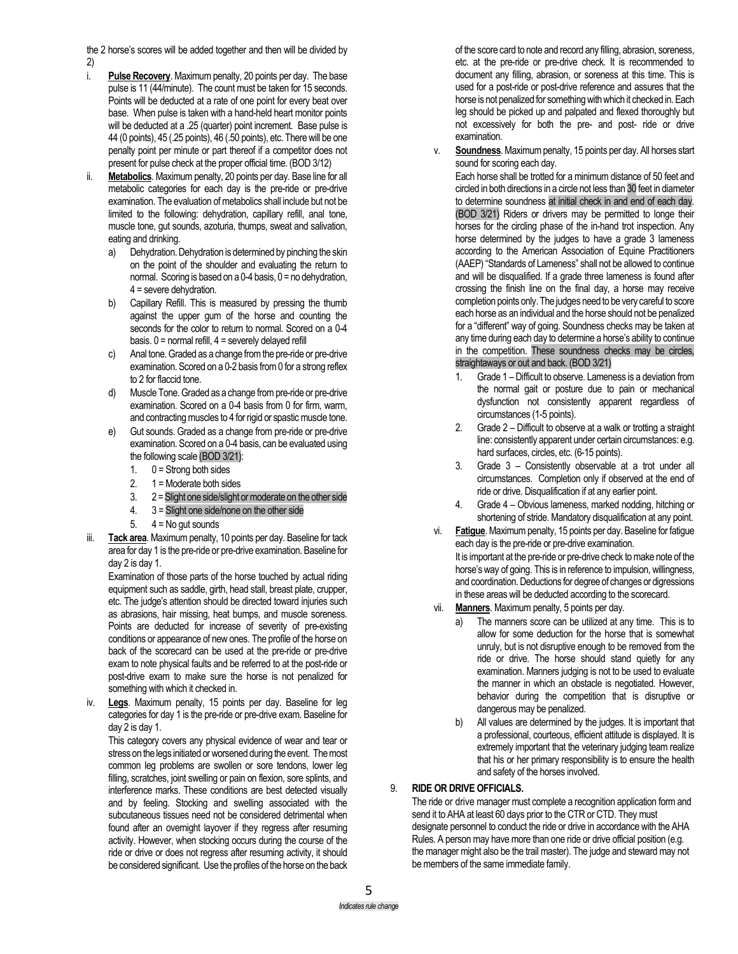the 2 horse's scores will be added together and then will be divided by 2)

- i. **Pulse Recovery**. Maximum penalty, 20 points per day. The base pulse is 11 (44/minute). The count must be taken for 15 seconds. Points will be deducted at a rate of one point for every beat over base. When pulse is taken with a hand-held heart monitor points will be deducted at a .25 (quarter) point increment. Base pulse is 44 (0 points), 45 (.25 points), 46 (.50 points), etc. There will be one penalty point per minute or part thereof if a competitor does not present for pulse check at the proper official time. (BOD 3/12)
- ii. **Metabolics**. Maximum penalty, 20 points per day. Base line for all metabolic categories for each day is the pre-ride or pre-drive examination. The evaluation of metabolics shall include but not be limited to the following: dehydration, capillary refill, anal tone, muscle tone, gut sounds, azoturia, thumps, sweat and salivation, eating and drinking.
	- a) Dehydration. Dehydration is determined by pinching the skin on the point of the shoulder and evaluating the return to normal. Scoring is based on a  $0-4$  basis,  $0 =$  no dehydration, 4 = severe dehydration.
	- b) Capillary Refill. This is measured by pressing the thumb against the upper gum of the horse and counting the seconds for the color to return to normal. Scored on a 0-4 basis.  $0 =$  normal refill,  $4 =$  severely delayed refill
	- c) Anal tone. Graded as a change from the pre-ride or pre-drive examination. Scored on a 0-2 basis from 0 for a strong reflex to 2 for flaccid tone.
	- d) Muscle Tone. Graded as a change from pre-ride or pre-drive examination. Scored on a 0-4 basis from 0 for firm, warm, and contracting muscles to 4 for rigid or spastic muscle tone.
	- e) Gut sounds. Graded as a change from pre-ride or pre-drive examination. Scored on a 0-4 basis, can be evaluated using the following scale (BOD 3/21):
		- 1.  $0 =$  Strong both sides
		- 2.  $1 = \text{Modern}$  both sides
		- 3. 2 =Slight one side/slight or moderate on the other side
		- 4. 3 = Slight one side/none on the other side
		- 5.  $4 = No$  gut sounds
- iii. **Tack area**. Maximum penalty, 10 points per day. Baseline for tack area for day 1 is the pre-ride or pre-drive examination. Baseline for day 2 is day 1.

Examination of those parts of the horse touched by actual riding equipment such as saddle, girth, head stall, breast plate, crupper, etc. The judge's attention should be directed toward injuries such as abrasions, hair missing, heat bumps, and muscle soreness. Points are deducted for increase of severity of pre-existing conditions or appearance of new ones. The profile of the horse on back of the scorecard can be used at the pre-ride or pre-drive exam to note physical faults and be referred to at the post-ride or post-drive exam to make sure the horse is not penalized for something with which it checked in.

iv. **Legs**. Maximum penalty, 15 points per day. Baseline for leg categories for day 1 is the pre-ride or pre-drive exam. Baseline for day 2 is day 1.

This category covers any physical evidence of wear and tear or stress on the legs initiated or worsened during the event. The most common leg problems are swollen or sore tendons, lower leg filling, scratches, joint swelling or pain on flexion, sore splints, and interference marks. These conditions are best detected visually and by feeling. Stocking and swelling associated with the subcutaneous tissues need not be considered detrimental when found after an overnight layover if they regress after resuming activity. However, when stocking occurs during the course of the ride or drive or does not regress after resuming activity, it should be considered significant. Use the profiles of the horse on the back

of the score card to note and record any filling, abrasion, soreness, etc. at the pre-ride or pre-drive check. It is recommended to document any filling, abrasion, or soreness at this time. This is used for a post-ride or post-drive reference and assures that the horse is not penalized for something with which it checked in. Each leg should be picked up and palpated and flexed thoroughly but not excessively for both the pre- and post- ride or drive examination.

v. **Soundness**. Maximum penalty, 15 points per day. All horses start sound for scoring each day.

Each horse shall be trotted for a minimum distance of 50 feet and circled in both directions in a circle not less than 30 feet in diameter to determine soundness at initial check in and end of each day. (BOD 3/21) Riders or drivers may be permitted to longe their horses for the circling phase of the in-hand trot inspection. Any horse determined by the judges to have a grade 3 lameness according to the American Association of Equine Practitioners (AAEP) "Standards of Lameness" shall not be allowed to continue and will be disqualified. If a grade three lameness is found after crossing the finish line on the final day, a horse may receive completion points only. The judges need to be very careful to score each horse as an individual and the horse should not be penalized for a "different" way of going. Soundness checks may be taken at any time during each day to determine a horse's ability to continue in the competition. These soundness checks may be circles, straightaways or out and back. (BOD 3/21)

- 1. Grade 1 Difficult to observe. Lameness is a deviation from the normal gait or posture due to pain or mechanical dysfunction not consistently apparent regardless of circumstances (1-5 points).
- 2. Grade 2 Difficult to observe at a walk or trotting a straight line: consistently apparent under certain circumstances: e.g. hard surfaces, circles, etc. (6-15 points).
- 3. Grade 3 Consistently observable at a trot under all circumstances. Completion only if observed at the end of ride or drive. Disqualification if at any earlier point.
- 4. Grade 4 Obvious lameness, marked nodding, hitching or shortening of stride. Mandatory disqualification at any point.
- vi. **Fatigue**. Maximum penalty, 15 points per day. Baseline for fatigue each day is the pre-ride or pre-drive examination.

It is important at the pre-ride or pre-drive check to make note of the horse's way of going. This is in reference to impulsion, willingness, and coordination. Deductions for degree of changes or digressions in these areas will be deducted according to the scorecard.

- vii. **Manners**. Maximum penalty, 5 points per day.
	- a) The manners score can be utilized at any time. This is to allow for some deduction for the horse that is somewhat unruly, but is not disruptive enough to be removed from the ride or drive. The horse should stand quietly for any examination. Manners judging is not to be used to evaluate the manner in which an obstacle is negotiated. However, behavior during the competition that is disruptive or dangerous may be penalized.
	- b) All values are determined by the judges. It is important that a professional, courteous, efficient attitude is displayed. It is extremely important that the veterinary judging team realize that his or her primary responsibility is to ensure the health and safety of the horses involved.

## 9. **RIDE OR DRIVE OFFICIALS.**

The ride or drive manager must complete a recognition application form and send it to AHA at least 60 days prior to the CTR or CTD. They must designate personnel to conduct the ride or drive in accordance with the AHA Rules. A person may have more than one ride or drive official position (e.g. the manager might also be the trail master). The judge and steward may not be members of the same immediate family.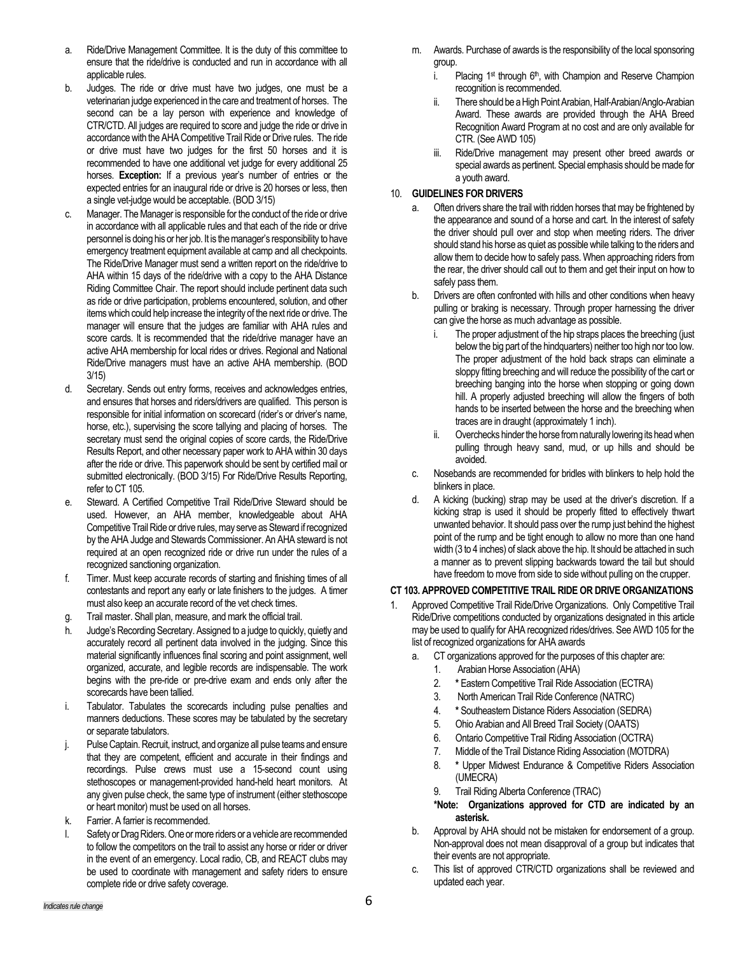- a. Ride/Drive Management Committee. It is the duty of this committee to ensure that the ride/drive is conducted and run in accordance with all applicable rules.
- b. Judges. The ride or drive must have two judges, one must be a veterinarian judge experienced in the care and treatment of horses. The second can be a lay person with experience and knowledge of CTR/CTD. All judges are required to score and judge the ride or drive in accordance with the AHA Competitive Trail Ride or Drive rules. The ride or drive must have two judges for the first 50 horses and it is recommended to have one additional vet judge for every additional 25 horses. **Exception:** If a previous year's number of entries or the expected entries for an inaugural ride or drive is 20 horses or less, then a single vet-judge would be acceptable. (BOD 3/15)
- c. Manager. The Manager is responsible for the conduct of the ride or drive in accordance with all applicable rules and that each of the ride or drive personnel is doing his or her job. It is the manager's responsibility to have emergency treatment equipment available at camp and all checkpoints. The Ride/Drive Manager must send a written report on the ride/drive to AHA within 15 days of the ride/drive with a copy to the AHA Distance Riding Committee Chair. The report should include pertinent data such as ride or drive participation, problems encountered, solution, and other items which could help increase the integrity of the next ride or drive. The manager will ensure that the judges are familiar with AHA rules and score cards. It is recommended that the ride/drive manager have an active AHA membership for local rides or drives. Regional and National Ride/Drive managers must have an active AHA membership. (BOD 3/15)
- d. Secretary. Sends out entry forms, receives and acknowledges entries, and ensures that horses and riders/drivers are qualified. This person is responsible for initial information on scorecard (rider's or driver's name, horse, etc.), supervising the score tallying and placing of horses. The secretary must send the original copies of score cards, the Ride/Drive Results Report, and other necessary paper work to AHA within 30 days after the ride or drive. This paperwork should be sent by certified mail or submitted electronically. (BOD 3/15) For Ride/Drive Results Reporting, refer to CT 105.
- e. Steward. A Certified Competitive Trail Ride/Drive Steward should be used. However, an AHA member, knowledgeable about AHA Competitive Trail Ride or drive rules, may serve as Steward if recognized by the AHA Judge and Stewards Commissioner. An AHA steward is not required at an open recognized ride or drive run under the rules of a recognized sanctioning organization.
- f. Timer. Must keep accurate records of starting and finishing times of all contestants and report any early or late finishers to the judges. A timer must also keep an accurate record of the vet check times.
- g. Trail master. Shall plan, measure, and mark the official trail.
- h. Judge's Recording Secretary. Assigned to a judge to quickly, quietly and accurately record all pertinent data involved in the judging. Since this material significantly influences final scoring and point assignment, well organized, accurate, and legible records are indispensable. The work begins with the pre-ride or pre-drive exam and ends only after the scorecards have been tallied.
- i. Tabulator. Tabulates the scorecards including pulse penalties and manners deductions. These scores may be tabulated by the secretary or separate tabulators.
- j. Pulse Captain. Recruit, instruct, and organize all pulse teams and ensure that they are competent, efficient and accurate in their findings and recordings. Pulse crews must use a 15-second count using stethoscopes or management-provided hand-held heart monitors. At any given pulse check, the same type of instrument (either stethoscope or heart monitor) must be used on all horses.
- k. Farrier. A farrier is recommended.
- l. Safety or Drag Riders. One or more riders or a vehicle are recommended to follow the competitors on the trail to assist any horse or rider or driver in the event of an emergency. Local radio, CB, and REACT clubs may be used to coordinate with management and safety riders to ensure complete ride or drive safety coverage.
- m. Awards. Purchase of awards is the responsibility of the local sponsoring group.
	- i. Placing  $1^{st}$  through  $6^{th}$ , with Champion and Reserve Champion recognition is recommended.
	- ii. There should be a High Point Arabian, Half-Arabian/Anglo-Arabian Award. These awards are provided through the AHA Breed Recognition Award Program at no cost and are only available for CTR. (See AWD 105)
	- iii. Ride/Drive management may present other breed awards or special awards as pertinent. Special emphasis should be made for a youth award.

### 10. **GUIDELINES FOR DRIVERS**

- a. Often drivers share the trail with ridden horses that may be frightened by the appearance and sound of a horse and cart. In the interest of safety the driver should pull over and stop when meeting riders. The driver should stand his horse as quiet as possible while talking to the riders and allow them to decide how to safely pass. When approaching riders from the rear, the driver should call out to them and get their input on how to safely pass them.
- b. Drivers are often confronted with hills and other conditions when heavy pulling or braking is necessary. Through proper harnessing the driver can give the horse as much advantage as possible.
	- i. The proper adjustment of the hip straps places the breeching (just) below the big part of the hindquarters) neither too high nor too low. The proper adjustment of the hold back straps can eliminate a sloppy fitting breeching and will reduce the possibility of the cart or breeching banging into the horse when stopping or going down hill. A properly adjusted breeching will allow the fingers of both hands to be inserted between the horse and the breeching when traces are in draught (approximately 1 inch).
	- Overchecks hinder the horse from naturally lowering its head when pulling through heavy sand, mud, or up hills and should be avoided.
- c. Nosebands are recommended for bridles with blinkers to help hold the blinkers in place.
- d. A kicking (bucking) strap may be used at the driver's discretion. If a kicking strap is used it should be properly fitted to effectively thwart unwanted behavior. It should pass over the rump just behind the highest point of the rump and be tight enough to allow no more than one hand width (3 to 4 inches) of slack above the hip. It should be attached in such a manner as to prevent slipping backwards toward the tail but should have freedom to move from side to side without pulling on the crupper.

### **CT 103. APPROVED COMPETITIVE TRAIL RIDE OR DRIVE ORGANIZATIONS**

- 1. Approved Competitive Trail Ride/Drive Organizations. Only Competitive Trail Ride/Drive competitions conducted by organizations designated in this article may be used to qualify for AHA recognized rides/drives. See AWD 105 for the list of recognized organizations for AHA awards
	- a. CT organizations approved for the purposes of this chapter are:
		- 1. Arabian Horse Association (AHA)
		- 2. **\*** Eastern Competitive Trail Ride Association (ECTRA)
		- 3. North American Trail Ride Conference (NATRC)
		- 4. **\*** Southeastern Distance Riders Association (SEDRA)
		- 5. Ohio Arabian and All Breed Trail Society (OAATS)
		- 6. Ontario Competitive Trail Riding Association (OCTRA)
		- 7. Middle of the Trail Distance Riding Association (MOTDRA)
		- 8. **\*** Upper Midwest Endurance & Competitive Riders Association (UMECRA)
		- 9. Trail Riding Alberta Conference (TRAC)

## **\*Note: Organizations approved for CTD are indicated by an asterisk.**

- b. Approval by AHA should not be mistaken for endorsement of a group. Non-approval does not mean disapproval of a group but indicates that their events are not appropriate.
- c. This list of approved CTR/CTD organizations shall be reviewed and updated each year.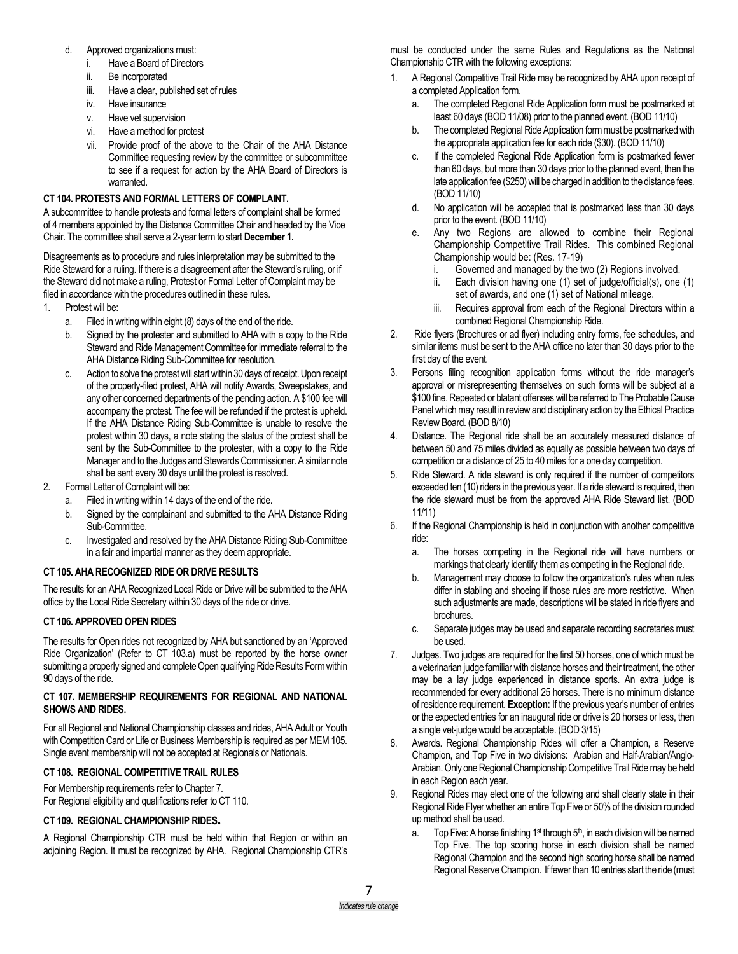- d. Approved organizations must:
	- Have a Board of Directors
	- ii. Be incorporated
	- iii. Have a clear, published set of rules
	- iv. Have insurance
	- v. Have vet supervision
	- vi. Have a method for protest
	- vii. Provide proof of the above to the Chair of the AHA Distance Committee requesting review by the committee or subcommittee to see if a request for action by the AHA Board of Directors is warranted.

### **CT 104. PROTESTS AND FORMAL LETTERS OF COMPLAINT.**

A subcommittee to handle protests and formal letters of complaint shall be formed of 4 members appointed by the Distance Committee Chair and headed by the Vice Chair. The committee shall serve a 2-year term to start **December 1.**

Disagreements as to procedure and rules interpretation may be submitted to the Ride Steward for a ruling. If there is a disagreement after the Steward's ruling, or if the Steward did not make a ruling, Protest or Formal Letter of Complaint may be filed in accordance with the procedures outlined in these rules.

- 1. Protest will be:
	- a. Filed in writing within eight (8) days of the end of the ride.
	- b. Signed by the protester and submitted to AHA with a copy to the Ride Steward and Ride Management Committee for immediate referral to the AHA Distance Riding Sub-Committee for resolution.
	- c. Action to solve the protest will start within 30 days of receipt. Upon receipt of the properly-filed protest, AHA will notify Awards, Sweepstakes, and any other concerned departments of the pending action. A \$100 fee will accompany the protest. The fee will be refunded if the protest is upheld. If the AHA Distance Riding Sub-Committee is unable to resolve the protest within 30 days, a note stating the status of the protest shall be sent by the Sub-Committee to the protester, with a copy to the Ride Manager and to the Judges and Stewards Commissioner. A similar note shall be sent every 30 days until the protest is resolved.
- 2. Formal Letter of Complaint will be:
	- a. Filed in writing within 14 days of the end of the ride.
	- b. Signed by the complainant and submitted to the AHA Distance Riding Sub-Committee.
	- c. Investigated and resolved by the AHA Distance Riding Sub-Committee in a fair and impartial manner as they deem appropriate.

## **CT 105. AHA RECOGNIZED RIDE OR DRIVE RESULTS**

The results for an AHA Recognized Local Ride or Drive will be submitted to the AHA office by the Local Ride Secretary within 30 days of the ride or drive.

### **CT 106. APPROVED OPEN RIDES**

The results for Open rides not recognized by AHA but sanctioned by an 'Approved Ride Organization' (Refer to CT 103.a) must be reported by the horse owner submitting a properly signed and complete Open qualifying Ride Results Form within 90 days of the ride.

#### **CT 107. MEMBERSHIP REQUIREMENTS FOR REGIONAL AND NATIONAL SHOWS AND RIDES.**

For all Regional and National Championship classes and rides, AHA Adult or Youth with Competition Card or Life or Business Membership is required as per MEM 105. Single event membership will not be accepted at Regionals or Nationals.

## **CT 108. REGIONAL COMPETITIVE TRAIL RULES**

For Membership requirements refer to Chapter 7.

For Regional eligibility and qualifications refer to CT 110.

### **CT 109. REGIONAL CHAMPIONSHIP RIDES.**

A Regional Championship CTR must be held within that Region or within an adjoining Region. It must be recognized by AHA. Regional Championship CTR's must be conducted under the same Rules and Regulations as the National Championship CTR with the following exceptions:

- 1. A Regional Competitive Trail Ride may be recognized by AHA upon receipt of a completed Application form.
	- a. The completed Regional Ride Application form must be postmarked at least 60 days (BOD 11/08) prior to the planned event. (BOD 11/10)
	- b. The completed Regional Ride Application form must be postmarked with the appropriate application fee for each ride (\$30). (BOD 11/10)
	- c. If the completed Regional Ride Application form is postmarked fewer than 60 days, but more than 30 days prior to the planned event, then the late application fee (\$250) will be charged in addition to the distance fees. (BOD 11/10)
	- d. No application will be accepted that is postmarked less than 30 days prior to the event. (BOD 11/10)
	- e. Any two Regions are allowed to combine their Regional Championship Competitive Trail Rides. This combined Regional Championship would be: (Res. 17-19)
		- Governed and managed by the two (2) Regions involved.
		- ii. Each division having one (1) set of judge/official(s), one (1) set of awards, and one (1) set of National mileage.
		- iii. Requires approval from each of the Regional Directors within a combined Regional Championship Ride.
- 2. Ride flyers (Brochures or ad flyer) including entry forms, fee schedules, and similar items must be sent to the AHA office no later than 30 days prior to the first day of the event.
- 3. Persons filing recognition application forms without the ride manager's approval or misrepresenting themselves on such forms will be subject at a \$100 fine. Repeated or blatant offenses will be referred to The Probable Cause Panel which may result in review and disciplinary action by the Ethical Practice Review Board. (BOD 8/10)
- 4. Distance. The Regional ride shall be an accurately measured distance of between 50 and 75 miles divided as equally as possible between two days of competition or a distance of 25 to 40 miles for a one day competition.
- 5. Ride Steward. A ride steward is only required if the number of competitors exceeded ten (10) riders in the previous year. If a ride steward is required, then the ride steward must be from the approved AHA Ride Steward list. (BOD 11/11)
- 6. If the Regional Championship is held in conjunction with another competitive ride:
	- a. The horses competing in the Regional ride will have numbers or markings that clearly identify them as competing in the Regional ride.
	- b. Management may choose to follow the organization's rules when rules differ in stabling and shoeing if those rules are more restrictive. When such adjustments are made, descriptions will be stated in ride flyers and brochures.
	- c. Separate judges may be used and separate recording secretaries must be used.
- 7. Judges. Two judges are required for the first 50 horses, one of which must be a veterinarian judge familiar with distance horses and their treatment, the other may be a lay judge experienced in distance sports. An extra judge is recommended for every additional 25 horses. There is no minimum distance of residence requirement. **Exception:** If the previous year's number of entries or the expected entries for an inaugural ride or drive is 20 horses or less, then a single vet-judge would be acceptable. (BOD 3/15)
- 8. Awards. Regional Championship Rides will offer a Champion, a Reserve Champion, and Top Five in two divisions: Arabian and Half-Arabian/Anglo-Arabian. Only one Regional Championship Competitive Trail Ride may be held in each Region each year.
- 9. Regional Rides may elect one of the following and shall clearly state in their Regional Ride Flyer whether an entire Top Five or 50% of the division rounded up method shall be used.
	- a. Top Five: A horse finishing  $1^{st}$  through  $5^{th}$ , in each division will be named Top Five. The top scoring horse in each division shall be named Regional Champion and the second high scoring horse shall be named Regional Reserve Champion. If fewer than 10 entries start the ride (must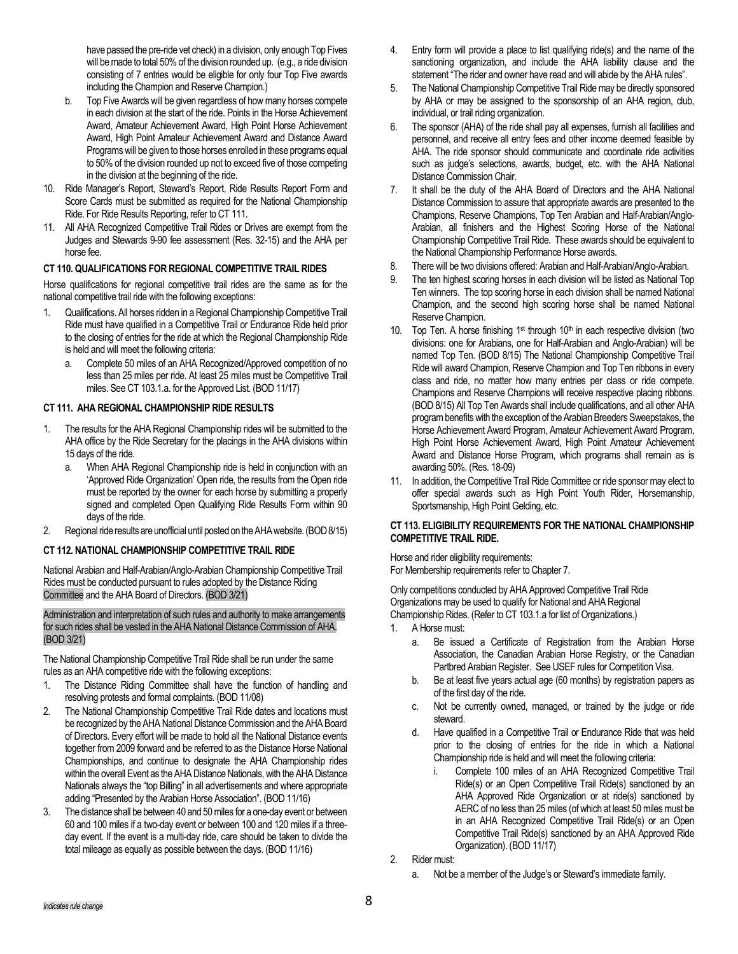have passed the pre-ride vet check) in a division, only enough Top Fives will be made to total 50% of the division rounded up. (e.g., a ride division consisting of 7 entries would be eligible for only four Top Five awards including the Champion and Reserve Champion.)

- b. Top Five Awards will be given regardless of how many horses compete in each division at the start of the ride. Points in the Horse Achievement Award, Amateur Achievement Award, High Point Horse Achievement Award, High Point Amateur Achievement Award and Distance Award Programs will be given to those horses enrolled in these programs equal to 50% of the division rounded up not to exceed five of those competing in the division at the beginning of the ride.
- 10. Ride Manager's Report, Steward's Report, Ride Results Report Form and Score Cards must be submitted as required for the National Championship Ride. For Ride Results Reporting, refer to CT 111.
- 11. All AHA Recognized Competitive Trail Rides or Drives are exempt from the Judges and Stewards 9-90 fee assessment (Res. 32-15) and the AHA per horse fee.

# **CT 110. QUALIFICATIONS FOR REGIONAL COMPETITIVE TRAIL RIDES**

Horse qualifications for regional competitive trail rides are the same as for the national competitive trail ride with the following exceptions:

- 1. Qualifications. All horses ridden in a Regional Championship Competitive Trail Ride must have qualified in a Competitive Trail or Endurance Ride held prior to the closing of entries for the ride at which the Regional Championship Ride is held and will meet the following criteria:
	- a. Complete 50 miles of an AHA Recognized/Approved competition of no less than 25 miles per ride. At least 25 miles must be Competitive Trail miles. See CT 103.1.a. for the Approved List. (BOD 11/17)

### **CT 111. AHA REGIONAL CHAMPIONSHIP RIDE RESULTS**

- 1. The results for the AHA Regional Championship rides will be submitted to the AHA office by the Ride Secretary for the placings in the AHA divisions within 15 days of the ride.
	- a. When AHA Regional Championship ride is held in conjunction with an 'Approved Ride Organization' Open ride, the results from the Open ride must be reported by the owner for each horse by submitting a properly signed and completed Open Qualifying Ride Results Form within 90 days of the ride.
- 2. Regional ride results are unofficial until posted on the AHA website. (BOD 8/15)

### **CT 112. NATIONAL CHAMPIONSHIP COMPETITIVE TRAIL RIDE**

National Arabian and Half-Arabian/Anglo-Arabian Championship Competitive Trail Rides must be conducted pursuant to rules adopted by the Distance Riding Committee and the AHA Board of Directors. (BOD 3/21)

#### Administration and interpretation of such rules and authority to make arrangements for such rides shall be vested in the AHA National Distance Commission of AHA. (BOD 3/21)

The National Championship Competitive Trail Ride shall be run under the same rules as an AHA competitive ride with the following exceptions:

- 1. The Distance Riding Committee shall have the function of handling and resolving protests and formal complaints. (BOD 11/08)
- 2. The National Championship Competitive Trail Ride dates and locations must be recognized by the AHA National Distance Commission and the AHA Board of Directors. Every effort will be made to hold all the National Distance events together from 2009 forward and be referred to as the Distance Horse National Championships, and continue to designate the AHA Championship rides within the overall Event as the AHA Distance Nationals, with the AHA Distance Nationals always the "top Billing" in all advertisements and where appropriate adding "Presented by the Arabian Horse Association". (BOD 11/16)
- 3. The distance shall be between 40 and 50miles for a one-day event or between 60 and 100 miles if a two-day event or between 100 and 120 miles if a threeday event. If the event is a multi-day ride, care should be taken to divide the total mileage as equally as possible between the days. (BOD 11/16)
- 4. Entry form will provide a place to list qualifying ride(s) and the name of the sanctioning organization, and include the AHA liability clause and the statement "The rider and owner have read and will abide by the AHA rules".
- 5. The National Championship Competitive Trail Ride may be directly sponsored by AHA or may be assigned to the sponsorship of an AHA region, club, individual, or trail riding organization.
- 6. The sponsor (AHA) of the ride shall pay all expenses, furnish all facilities and personnel, and receive all entry fees and other income deemed feasible by AHA. The ride sponsor should communicate and coordinate ride activities such as judge's selections, awards, budget, etc. with the AHA National Distance Commission Chair.
- 7. It shall be the duty of the AHA Board of Directors and the AHA National Distance Commission to assure that appropriate awards are presented to the Champions, Reserve Champions, Top Ten Arabian and Half-Arabian/Anglo-Arabian, all finishers and the Highest Scoring Horse of the National Championship Competitive Trail Ride. These awards should be equivalent to the National Championship Performance Horse awards.
- 8. There will be two divisions offered: Arabian and Half-Arabian/Anglo-Arabian.
- 9. The ten highest scoring horses in each division will be listed as National Top Ten winners. The top scoring horse in each division shall be named National Champion, and the second high scoring horse shall be named National Reserve Champion.
- 10. Top Ten. A horse finishing  $1<sup>st</sup>$  through  $10<sup>th</sup>$  in each respective division (two divisions: one for Arabians, one for Half-Arabian and Anglo-Arabian) will be named Top Ten. (BOD 8/15) The National Championship Competitive Trail Ride will award Champion, Reserve Champion and Top Ten ribbons in every class and ride, no matter how many entries per class or ride compete. Champions and Reserve Champions will receive respective placing ribbons. (BOD 8/15) All Top Ten Awards shall include qualifications, and all other AHA program benefits with the exception of the Arabian Breeders Sweepstakes, the Horse Achievement Award Program, Amateur Achievement Award Program, High Point Horse Achievement Award, High Point Amateur Achievement Award and Distance Horse Program, which programs shall remain as is awarding 50%. (Res. 18-09)
- 11. In addition, the Competitive Trail Ride Committee or ride sponsor may elect to offer special awards such as High Point Youth Rider, Horsemanship, Sportsmanship, High Point Gelding, etc.

### **CT 113. ELIGIBILITY REQUIREMENTS FOR THE NATIONAL CHAMPIONSHIP COMPETITIVE TRAIL RIDE.**

Horse and rider eligibility requirements: For Membership requirements refer to Chapter 7.

Only competitions conducted by AHA Approved Competitive Trail Ride Organizations may be used to qualify for National and AHA Regional Championship Rides. (Refer to CT 103.1.a for list of Organizations.)

- 1. A Horse must:
	- a. Be issued a Certificate of Registration from the Arabian Horse Association, the Canadian Arabian Horse Registry, or the Canadian Partbred Arabian Register. See USEF rules for Competition Visa.
	- b. Be at least five years actual age (60 months) by registration papers as of the first day of the ride.
	- c. Not be currently owned, managed, or trained by the judge or ride steward.
	- d. Have qualified in a Competitive Trail or Endurance Ride that was held prior to the closing of entries for the ride in which a National Championship ride is held and will meet the following criteria:
		- i. Complete 100 miles of an AHA Recognized Competitive Trail Ride(s) or an Open Competitive Trail Ride(s) sanctioned by an AHA Approved Ride Organization or at ride(s) sanctioned by AERC of no less than 25 miles (of which at least 50 miles must be in an AHA Recognized Competitive Trail Ride(s) or an Open Competitive Trail Ride(s) sanctioned by an AHA Approved Ride Organization). (BOD 11/17)
- 2. Rider must:
	- a. Not be a member of the Judge's or Steward's immediate family.